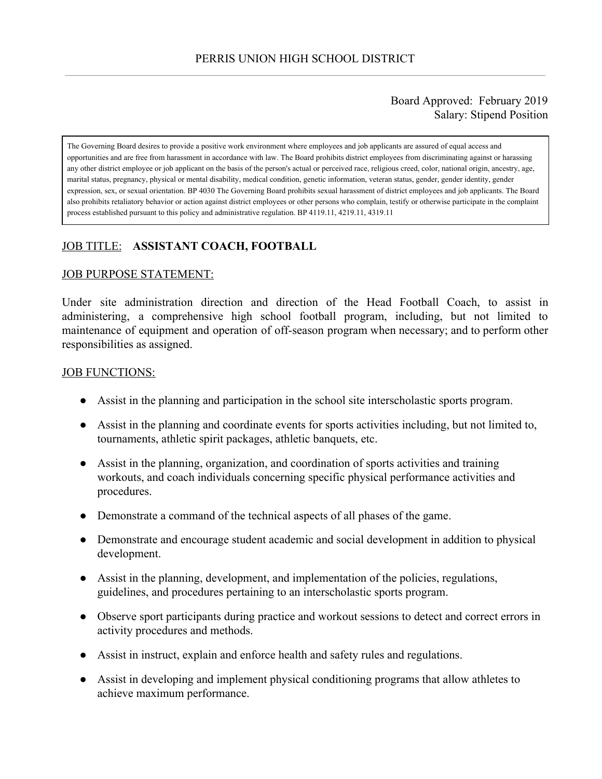### Board Approved: February 2019 Salary: Stipend Position

The Governing Board desires to provide a positive work environment where employees and job applicants are assured of equal access and opportunities and are free from harassment in accordance with law. The Board prohibits district employees from discriminating against or harassing any other district employee or job applicant on the basis of the person's actual or perceived race, religious creed, color, national origin, ancestry, age, marital status, pregnancy, physical or mental disability, medical condition, genetic information, veteran status, gender, gender identity, gender expression, sex, or sexual orientation. BP 4030 The Governing Board prohibits sexual harassment of district employees and job applicants. The Board also prohibits retaliatory behavior or action against district employees or other persons who complain, testify or otherwise participate in the complaint process established pursuant to this policy and administrative regulation. BP 4119.11, 4219.11, 4319.11

# JOB TITLE: **ASSISTANT COACH, FOOTBALL**

#### JOB PURPOSE STATEMENT:

Under site administration direction and direction of the Head Football Coach, to assist in administering, a comprehensive high school football program, including, but not limited to maintenance of equipment and operation of off-season program when necessary; and to perform other responsibilities as assigned.

#### JOB FUNCTIONS:

- Assist in the planning and participation in the school site interscholastic sports program.
- Assist in the planning and coordinate events for sports activities including, but not limited to, tournaments, athletic spirit packages, athletic banquets, etc.
- Assist in the planning, organization, and coordination of sports activities and training workouts, and coach individuals concerning specific physical performance activities and procedures.
- Demonstrate a command of the technical aspects of all phases of the game.
- Demonstrate and encourage student academic and social development in addition to physical development.
- Assist in the planning, development, and implementation of the policies, regulations, guidelines, and procedures pertaining to an interscholastic sports program.
- Observe sport participants during practice and workout sessions to detect and correct errors in activity procedures and methods.
- Assist in instruct, explain and enforce health and safety rules and regulations.
- Assist in developing and implement physical conditioning programs that allow athletes to achieve maximum performance.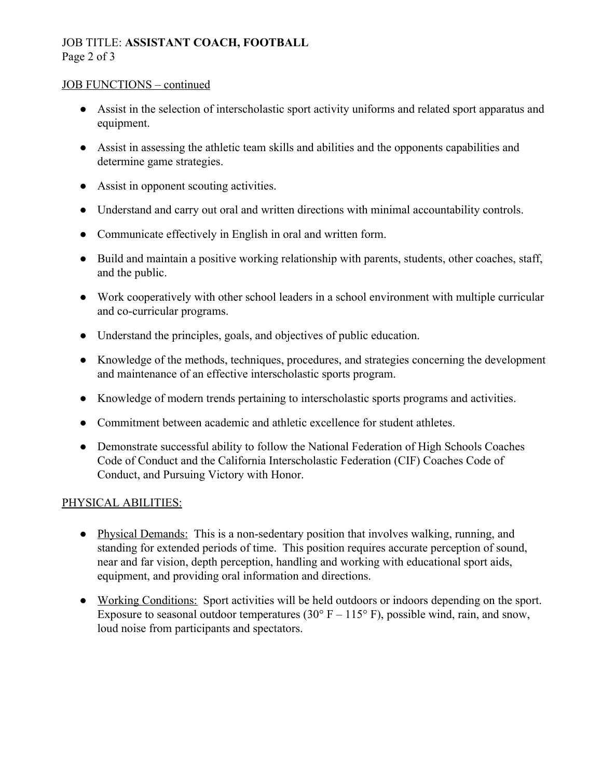# JOB TITLE: **ASSISTANT COACH, FOOTBALL** Page 2 of 3

### JOB FUNCTIONS – continued

- Assist in the selection of interscholastic sport activity uniforms and related sport apparatus and equipment.
- Assist in assessing the athletic team skills and abilities and the opponents capabilities and determine game strategies.
- Assist in opponent scouting activities.
- Understand and carry out oral and written directions with minimal accountability controls.
- Communicate effectively in English in oral and written form.
- Build and maintain a positive working relationship with parents, students, other coaches, staff, and the public.
- Work cooperatively with other school leaders in a school environment with multiple curricular and co-curricular programs.
- Understand the principles, goals, and objectives of public education.
- Knowledge of the methods, techniques, procedures, and strategies concerning the development and maintenance of an effective interscholastic sports program.
- Knowledge of modern trends pertaining to interscholastic sports programs and activities.
- Commitment between academic and athletic excellence for student athletes.
- Demonstrate successful ability to follow the National Federation of High Schools Coaches Code of Conduct and the California Interscholastic Federation (CIF) Coaches Code of Conduct, and Pursuing Victory with Honor.

## PHYSICAL ABILITIES:

- Physical Demands: This is a non-sedentary position that involves walking, running, and standing for extended periods of time. This position requires accurate perception of sound, near and far vision, depth perception, handling and working with educational sport aids, equipment, and providing oral information and directions.
- Working Conditions: Sport activities will be held outdoors or indoors depending on the sport. Exposure to seasonal outdoor temperatures (30 $\degree$  F – 115 $\degree$  F), possible wind, rain, and snow, loud noise from participants and spectators.